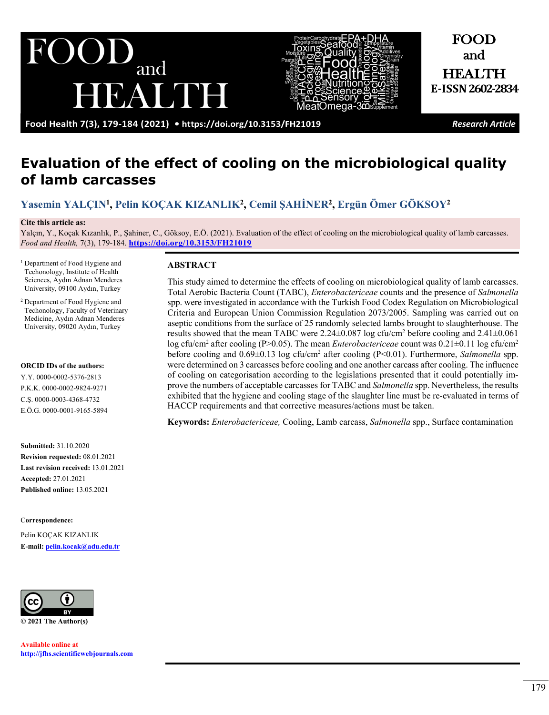and BAUDE



and HEALTH **E-ISSN2602-2834**

FOOD

**Food Health 7(3), 179-184 (2021) •<https://doi.org/10.3153/FH21019>** *Research Article*

# **Evaluation of the effect of cooling on the microbiological quality of lamb carcasses**

**[Yasemin YALÇIN1](https://orcid.org/0000-0002-5376-2813) , [Pelin KOÇAK KIZANLIK2](https://orcid.org/0000-0002-9824-9271) , [Cemil ŞAHİNER](https://orcid.org/0000-0003-4368-4732)2, [Ergün Ömer GÖKSOY](https://orcid.org/0000-0001-9165-5894)<sup>2</sup>**

#### **Cite this article as:**

Yalçın, Y., Koçak Kızanlık, P., Şahiner, C., Göksoy, E.Ö. (2021). Evaluation of the effect of cooling on the microbiological quality of lamb carcasses. *Food and Health,* 7(3), 179-184. **<https://doi.org/10.3153/FH21019>**

<sup>1</sup> Department of Food Hygiene and Techonology, Institute of Health Sciences, Aydın Adnan Menderes University, 09100 Aydın, Turkey

<sup>2</sup> Department of Food Hygiene and Techonology, Faculty of Veterinary Medicine, Aydın Adnan Menderes University, 09020 Aydın, Turkey

#### **ORCID IDs of the authors:**

Y.Y. 0000-0002-5376-2813 P.K.K. 0000-0002-9824-9271 C.Ş. 0000-0003-4368-4732 E.Ö.G. 0000-0001-9165-5894

**Submitted:** 31.10.2020 **Revision requested:** 08.01.2021 **Last revision received:** 13.01.2021 **Accepted:** 27.01.2021 **Published online:** 13.05.2021

C**orrespondence:** 

Pelin KOÇAK KIZANLIK **E-mail: [pelin.kocak@adu.edu.tr](mailto:pelin.kocak@adu.edu.tr)**



**Available online at [http://jfhs.scientificwebjournals.com](http://jfhs.scientificwebjournals.com/)**

#### **ABSTRACT**

This study aimed to determine the effects of cooling on microbiological quality of lamb carcasses. Total Aerobic Bacteria Count (TABC), *Enterobactericeae* counts and the presence of *Salmonella*  spp. were investigated in accordance with the Turkish Food Codex Regulation on Microbiological Criteria and European Union Commission Regulation 2073/2005. Sampling was carried out on aseptic conditions from the surface of 25 randomly selected lambs brought to slaughterhouse. The results showed that the mean TABC were 2.24 $\pm$ 0.087 log cfu/cm<sup>2</sup> before cooling and 2.41 $\pm$ 0.061 log cfu/cm<sup>2</sup> after cooling (P>0.05). The mean *Enterobactericeae* count was 0.21±0.11 log cfu/cm<sup>2</sup> before cooling and 0.69±0.13 log cfu/cm<sup>2</sup> after cooling (P<0.01). Furthermore, *Salmonella* spp. were determined on 3 carcasses before cooling and one another carcass after cooling. The influence of cooling on categorisation according to the legislations presented that it could potentially improve the numbers of acceptable carcasses for TABC and *Salmonella* spp. Nevertheless, the results exhibited that the hygiene and cooling stage of the slaughter line must be re-evaluated in terms of HACCP requirements and that corrective measures/actions must be taken.

**Keywords:** *Enterobactericeae,* Cooling, Lamb carcass, *Salmonella* spp., Surface contamination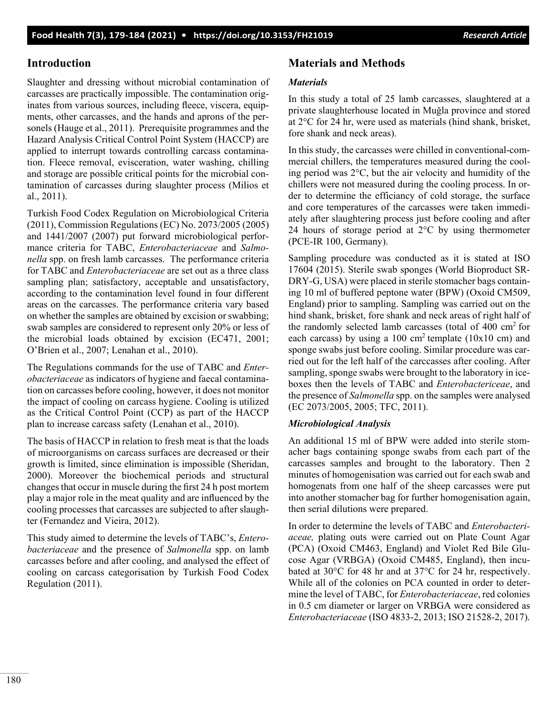## **Introduction**

Slaughter and dressing without microbial contamination of carcasses are practically impossible. The contamination originates from various sources, including fleece, viscera, equipments, other carcasses, and the hands and aprons of the personels (Hauge et al., 2011). Prerequisite programmes and the Hazard Analysis Critical Control Point System (HACCP) are applied to interrupt towards controlling carcass contamination. Fleece removal, evisceration, water washing, chilling and storage are possible critical points for the microbial contamination of carcasses during slaughter process (Milios et al., 2011).

Turkish Food Codex Regulation on Microbiological Criteria (2011), Commission Regulations (EC) No. 2073/2005 (2005) and 1441/2007 (2007) put forward microbiological performance criteria for TABC, *Enterobacteriaceae* and *Salmonella* spp. on fresh lamb carcasses. The performance criteria for TABC and *Enterobacteriaceae* are set out as a three class sampling plan; satisfactory, acceptable and unsatisfactory, according to the contamination level found in four different areas on the carcasses. The performance criteria vary based on whether the samples are obtained by excision or swabbing; swab samples are considered to represent only 20% or less of the microbial loads obtained by excision (EC471, 2001; O'Brien et al., 2007; Lenahan et al., 2010).

The Regulations commands for the use of TABC and *Enterobacteriaceae* as indicators of hygiene and faecal contamination on carcasses before cooling, however, it does not monitor the impact of cooling on carcass hygiene. Cooling is utilized as the Critical Control Point (CCP) as part of the HACCP plan to increase carcass safety (Lenahan et al., 2010).

The basis of HACCP in relation to fresh meat is that the loads of microorganisms on carcass surfaces are decreased or their growth is limited, since elimination is impossible (Sheridan, 2000). Moreover the biochemical periods and structural changes that occur in muscle during the first 24 h post mortem play a major role in the meat quality and are influenced by the cooling processes that carcasses are subjected to after slaughter (Fernandez and Vieira, 2012).

This study aimed to determine the levels of TABC's, *Enterobacteriaceae* and the presence of *Salmonella* spp. on lamb carcasses before and after cooling, and analysed the effect of cooling on carcass categorisation by Turkish Food Codex Regulation (2011).

# **Materials and Methods**

### *Materials*

In this study a total of 25 lamb carcasses, slaughtered at a private slaughterhouse located in Muğla province and stored at 2°C for 24 hr, were used as materials (hind shank, brisket, fore shank and neck areas).

In this study, the carcasses were chilled in conventional-commercial chillers, the temperatures measured during the cooling period was 2°C, but the air velocity and humidity of the chillers were not measured during the cooling process. In order to determine the efficiancy of cold storage, the surface and core temperatures of the carcasses were taken immediately after slaughtering process just before cooling and after 24 hours of storage period at  $2^{\circ}$ C by using thermometer (PCE-IR 100, Germany).

Sampling procedure was conducted as it is stated at ISO 17604 (2015). Sterile swab sponges (World Bioproduct SR-DRY-G, USA) were placed in sterile stomacher bags containing 10 ml of buffered peptone water (BPW) (Oxoid CM509, England) prior to sampling. Sampling was carried out on the hind shank, brisket, fore shank and neck areas of right half of the randomly selected lamb carcasses (total of  $400 \text{ cm}^2$  for each carcass) by using a 100 cm<sup>2</sup> template (10x10 cm) and sponge swabs just before cooling. Similar procedure was carried out for the left half of the carccasses after cooling. After sampling, sponge swabs were brought to the laboratory in iceboxes then the levels of TABC and *Enterobactericeae*, and the presence of *Salmonella* spp. on the samples were analysed (EC 2073/2005, 2005; TFC, 2011).

### *Microbiological Analysis*

An additional 15 ml of BPW were added into sterile stomacher bags containing sponge swabs from each part of the carcasses samples and brought to the laboratory. Then 2 minutes of homogenisation was carried out for each swab and homogenats from one half of the sheep carcasses were put into another stomacher bag for further homogenisation again, then serial dilutions were prepared.

In order to determine the levels of TABC and *Enterobacteriaceae,* plating outs were carried out on Plate Count Agar (PCA) (Oxoid CM463, England) and Violet Red Bile Glucose Agar (VRBGA) (Oxoid CM485, England), then incubated at 30°C for 48 hr and at 37°C for 24 hr, respectively. While all of the colonies on PCA counted in order to determine the level of TABC, for *Enterobacteriaceae*, red colonies in 0.5 cm diameter or larger on VRBGA were considered as *Enterobacteriaceae* (ISO 4833-2, 2013; ISO 21528-2, 2017).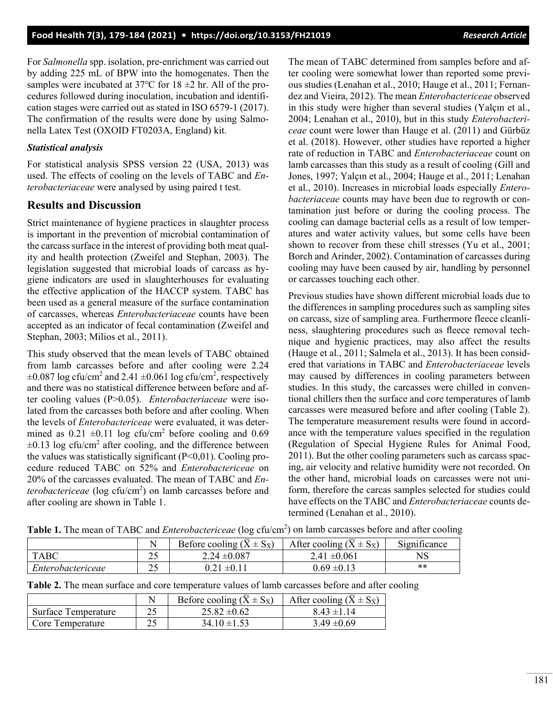For *Salmonella* spp. isolation, pre-enrichment was carried out by adding 225 mL of BPW into the homogenates. Then the samples were incubated at 37℃ for 18 ±2 hr. All of the procedures followed during inoculation, incubation and identification stages were carried out as stated in ISO 6579-1 (2017). The confirmation of the results were done by using Salmonella Latex Test (OXOID FT0203A, England) kit.

#### *Statistical analysis*

For statistical analysis SPSS version 22 (USA, 2013) was used. The effects of cooling on the levels of TABC and *Enterobacteriaceae* were analysed by using paired t test.

### **Results and Discussion**

Strict maintenance of hygiene practices in slaughter process is important in the prevention of microbial contamination of the carcass surface in the interest of providing both meat quality and health protection (Zweifel and Stephan, 2003). The legislation suggested that microbial loads of carcass as hygiene indicators are used in slaughterhouses for evaluating the effective application of the HACCP system. TABC has been used as a general measure of the surface contamination of carcasses, whereas *Enterobacteriaceae* counts have been accepted as an indicator of fecal contamination (Zweifel and Stephan, 2003; Milios et al., 2011).

This study observed that the mean levels of TABC obtained from lamb carcasses before and after cooling were 2.24  $\pm 0.087$  log cfu/cm<sup>2</sup> and 2.41  $\pm 0.061$  log cfu/cm<sup>2</sup>, respectively and there was no statistical difference between before and after cooling values (P>0.05). *Enterobacteriaceae* were isolated from the carcasses both before and after cooling. When the levels of *Enterobactericeae* were evaluated, it was determined as  $0.21 \pm 0.11$  log cfu/cm<sup>2</sup> before cooling and 0.69  $\pm 0.13$  log cfu/cm<sup>2</sup> after cooling, and the difference between the values was statistically significant  $(P<0,01)$ . Cooling procedure reduced TABC on 52% and *Enterobactericeae* on 20% of the carcasses evaluated. The mean of TABC and *En*terobactericeae (log cfu/cm<sup>2</sup>) on lamb carcasses before and after cooling are shown in Table 1.

The mean of TABC determined from samples before and after cooling were somewhat lower than reported some previous studies (Lenahan et al., 2010; Hauge et al., 2011; Fernandez and Vieira, 2012). The mean *Enterobactericeae* observed in this study were higher than several studies (Yalçın et al., 2004; Lenahan et al., 2010), but in this study *Enterobactericeae* count were lower than Hauge et al. (2011) and Gürbüz et al. (2018). However, other studies have reported a higher rate of reduction in TABC and *Enterobacteriaceae* count on lamb carcasses than this study as a result of cooling (Gill and Jones, 1997; Yalçın et al., 2004; Hauge et al., 2011; Lenahan et al., 2010). Increases in microbial loads especially *Enterobacteriaceae* counts may have been due to regrowth or contamination just before or during the cooling process. The cooling can damage bacterial cells as a result of low temperatures and water activity values, but some cells have been shown to recover from these chill stresses (Yu et al., 2001; Borch and Arinder, 2002). Contamination of carcasses during cooling may have been caused by air, handling by personnel or carcasses touching each other.

Previous studies have shown different microbial loads due to the differences in sampling procedures such as sampling sites on carcass, size of sampling area. Furthermore fleece cleanliness, slaughtering procedures such as fleece removal technique and hygienic practices, may also affect the results (Hauge et al., 2011; Salmela et al., 2013). It has been considered that variations in TABC and *Enterobacteriaceae* levels may caused by differences in cooling parameters between studies. In this study, the carcasses were chilled in conventional chillers then the surface and core temperatures of lamb carcasses were measured before and after cooling (Table 2). The temperature measurement results were found in accordance with the temperature values specified in the regulation (Regulation of Special Hygiene Rules for Animal Food, 2011). But the other cooling parameters such as carcass spacing, air velocity and relative humidity were not recorded. On the other hand, microbial loads on carcasses were not uniform, therefore the carcas samples selected for studies could have effects on the TABC and *Enterobacteriaceae* counts determined (Lenahan et al., 2010).

|                          | N          | Before cooling ( $\overline{X} \pm S_{\overline{X}}$ ) | After cooling ( $\overline{X} \pm S_{\overline{X}}$ ) | $\cdot$ $\sim$<br>$\sim$<br>Significance |
|--------------------------|------------|--------------------------------------------------------|-------------------------------------------------------|------------------------------------------|
| <b>TABC</b>              | ر ت        | $2.24 \pm 0.087$                                       | $2.41 \pm 0.061$                                      | NS                                       |
| <i>Enterobactericeae</i> | n c<br>ت ک | $1 + 0.1$<br>0.21                                      | $0.69 \pm 0.13$                                       | **                                       |

**Table 1.** The mean of TABC and *Enterobactericeae* (log cfu/cm<sup>2</sup> ) on lamb carcasses before and after cooling

| Table 2. The mean surface and core temperature values of lamb carcasses before and after cooling |  |
|--------------------------------------------------------------------------------------------------|--|
|--------------------------------------------------------------------------------------------------|--|

|                     | Before cooling $(\overline{X} \pm S_{\overline{X}})$ | After cooling ( $\overline{X} \pm S_{\overline{X}}$ ) |
|---------------------|------------------------------------------------------|-------------------------------------------------------|
| Surface Temperature | $25.82 \pm 0.62$                                     | $8.43 \pm 1.14$                                       |
| Core Temperature    | $34.10 \pm 1.53$                                     | $3.49 \pm 0.69$                                       |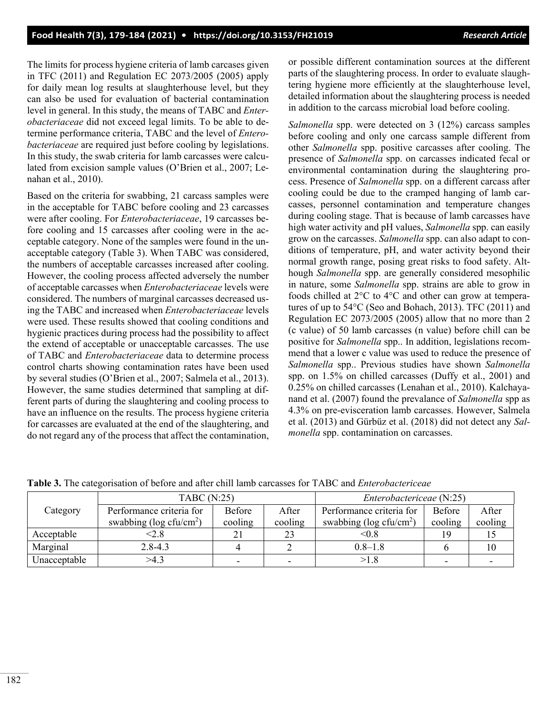The limits for process hygiene criteria of lamb carcases given in TFC (2011) and Regulation EC 2073/2005 (2005) apply for daily mean log results at slaughterhouse level, but they can also be used for evaluation of bacterial contamination level in general. In this study, the means of TABC and *Enterobacteriaceae* did not exceed legal limits. To be able to determine performance criteria, TABC and the level of *Enterobacteriaceae* are required just before cooling by legislations. In this study, the swab criteria for lamb carcasses were calculated from excision sample values (O'Brien et al., 2007; Lenahan et al., 2010).

Based on the criteria for swabbing, 21 carcass samples were in the acceptable for TABC before cooling and 23 carcasses were after cooling. For *Enterobacteriaceae*, 19 carcasses before cooling and 15 carcasses after cooling were in the acceptable category. None of the samples were found in the unacceptable category (Table 3). When TABC was considered, the numbers of acceptable carcasses increased after cooling. However, the cooling process affected adversely the number of acceptable carcasses when *Enterobacteriaceae* levels were considered. The numbers of marginal carcasses decreased using the TABC and increased when *Enterobacteriaceae* levels were used. These results showed that cooling conditions and hygienic practices during process had the possibility to affect the extend of acceptable or unacceptable carcasses. The use of TABC and *Enterobacteriaceae* data to determine process control charts showing contamination rates have been used by several studies (O'Brien et al., 2007; Salmela et al., 2013). However, the same studies determined that sampling at different parts of during the slaughtering and cooling process to have an influence on the results. The process hygiene criteria for carcasses are evaluated at the end of the slaughtering, and do not regard any of the process that affect the contamination,

or possible different contamination sources at the different parts of the slaughtering process. In order to evaluate slaughtering hygiene more efficiently at the slaughterhouse level, detailed information about the slaughtering process is needed in addition to the carcass microbial load before cooling.

*Salmonella* spp. were detected on 3 (12%) carcass samples before cooling and only one carcass sample different from other *Salmonella* spp. positive carcasses after cooling. The presence of *Salmonella* spp. on carcasses indicated fecal or environmental contamination during the slaughtering process. Presence of *Salmonella* spp. on a different carcass after cooling could be due to the cramped hanging of lamb carcasses, personnel contamination and temperature changes during cooling stage. That is because of lamb carcasses have high water activity and pH values, *Salmonella* spp. can easily grow on the carcasses. *Salmonella* spp. can also adapt to conditions of temperature, pH, and water activity beyond their normal growth range, posing great risks to food safety. Although *Salmonella* spp. are generally considered mesophilic in nature, some *Salmonella* spp. strains are able to grow in foods chilled at 2°C to 4°C and other can grow at temperatures of up to 54°C (Seo and Bohach, 2013). TFC (2011) and Regulation EC 2073/2005 (2005) allow that no more than 2 (c value) of 50 lamb carcasses (n value) before chill can be positive for *Salmonella* spp.. In addition, legislations recommend that a lower c value was used to reduce the presence of *Salmonella* spp.. Previous studies have shown *Salmonella* spp. on 1.5% on chilled carcasses (Duffy et al., 2001) and 0.25% on chilled carcasses (Lenahan et al., 2010). Kalchayanand et al. (2007) found the prevalance of *Salmonella* spp as 4.3% on pre-evisceration lamb carcasses. However, Salmela et al. (2013) and Gürbüz et al. (2018) did not detect any *Salmonella* spp. contamination on carcasses.

|              | <b>TABC</b> (N:25)              |                          | Enterobactericeae (N:25) |                              |                          |         |
|--------------|---------------------------------|--------------------------|--------------------------|------------------------------|--------------------------|---------|
| Category     | Performance criteria for        | Before                   | After                    | Performance criteria for     | Before                   | After   |
|              | swabbing ( $log c f u / cm^2$ ) | cooling                  | cooling                  | swabbing ( $log c f u/cm2$ ) | cooling                  | cooling |
| Acceptable   | 2.8                             | 21                       | 23                       | < 0.8                        | 19                       |         |
| Marginal     | $2.8 - 4.3$                     |                          |                          | $0.8 - 1.8$                  |                          | 10      |
| Unacceptable | >4.3                            | $\overline{\phantom{0}}$ | $\sim$                   | >1.8                         | $\overline{\phantom{0}}$ |         |

**Table 3.** The categorisation of before and after chill lamb carcasses for TABC and *Enterobactericeae*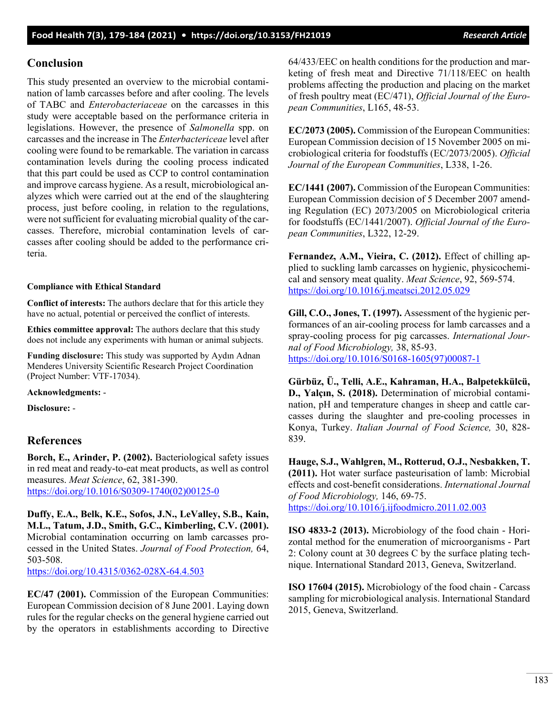### **Conclusion**

This study presented an overview to the microbial contamination of lamb carcasses before and after cooling. The levels of TABC and *Enterobacteriaceae* on the carcasses in this study were acceptable based on the performance criteria in legislations. However, the presence of *Salmonella* spp. on carcasses and the increase in The *Enterbactericeae* level after cooling were found to be remarkable. The variation in carcass contamination levels during the cooling process indicated that this part could be used as CCP to control contamination and improve carcass hygiene. As a result, microbiological analyzes which were carried out at the end of the slaughtering process, just before cooling, in relation to the regulations, were not sufficient for evaluating microbial quality of the carcasses. Therefore, microbial contamination levels of carcasses after cooling should be added to the performance criteria.

#### **Compliance with Ethical Standard**

**Conflict of interests:** The authors declare that for this article they have no actual, potential or perceived the conflict of interests.

**Ethics committee approval:** The authors declare that this study does not include any experiments with human or animal subjects.

**Funding disclosure:** This study was supported by Aydın Adnan Menderes University Scientific Research Project Coordination (Project Number: VTF-17034).

**Acknowledgments:** -

**Disclosure:** -

### **References**

**Borch, E., Arinder, P. (2002).** Bacteriological safety issues in red meat and ready-to-eat meat products, as well as control measures. *Meat Science*, 62, 381-390. [https://doi.org/10.1016/S0309](https://doi.org/10.1016/S0309-1740(02)00125-0)-1740(02)00125-0

**Duffy, E.A., Belk, K.E., Sofos, J.N., LeValley, S.B., Kain, M.L., Tatum, J.D., Smith, G.C., Kimberling, C.V. (2001).** Microbial contamination occurring on lamb carcasses processed in the United States. *Journal of Food Protection,* 64, 503-508.

[https://doi.org/10.4315/0362](https://doi.org/10.4315/0362-028X-64.4.503)-028X-64.4.503

**EC/47 (2001).** Commission of the European Communities: European Commission decision of 8 June 2001. Laying down rules for the regular checks on the general hygiene carried out by the operators in establishments according to Directive 64/433/EEC on health conditions for the production and marketing of fresh meat and Directive 71/118/EEC on health problems affecting the production and placing on the market of fresh poultry meat (EC/471), *Official Journal of the European Communities*, L165, 48-53.

**EC/2073 (2005).** Commission of the European Communities: European Commission decision of 15 November 2005 on microbiological criteria for foodstuffs (EC/2073/2005). *Official Journal of the European Communities*, L338, 1-26.

**EC/1441 (2007).** Commission of the European Communities: European Commission decision of 5 December 2007 amending Regulation (EC) 2073/2005 on Microbiological criteria for foodstuffs (EC/1441/2007). *Official Journal of the European Communities*, L322, 12-29.

**Fernandez, A.M., Vieira, C. (2012).** Effect of chilling applied to suckling lamb carcasses on hygienic, physicochemical and sensory meat quality. *Meat Science*, 92, 569-574. <https://doi.org/10.1016/j.meatsci.2012.05.029>

**Gill, C.O., Jones, T. (1997).** Assessment of the hygienic performances of an air-cooling process for lamb carcasses and a spray-cooling process for pig carcasses. *International Journal of Food Microbiology,* 38, 85-93. [https://doi.org/10.1016/S0168](https://doi.org/10.1016/S0168-1605(97)00087-1)-1605(97)00087-1

**Gürbüz, Ü., Telli, A.E., Kahraman, H.A., Balpetekkülcü, D., Yalçın, S. (2018).** Determination of microbial contamination, pH and temperature changes in sheep and cattle carcasses during the slaughter and pre-cooling processes in Konya, Turkey. *Italian Journal of Food Science,* 30, 828- 839.

**Hauge, S.J., Wahlgren, M., Rotterud, O.J., Nesbakken, T. (2011).** Hot water surface pasteurisation of lamb: Microbial effects and cost-benefit considerations. *International Journal of Food Microbiology,* 146, 69-75. <https://doi.org/10.1016/j.ijfoodmicro.2011.02.003>

**ISO 4833-2 (2013).** Microbiology of the food chain - Horizontal method for the enumeration of microorganisms - Part 2: Colony count at 30 degrees C by the surface plating technique. International Standard 2013, Geneva, Switzerland.

**ISO 17604 (2015).** Microbiology of the food chain - Carcass sampling for microbiological analysis. International Standard 2015, Geneva, Switzerland.